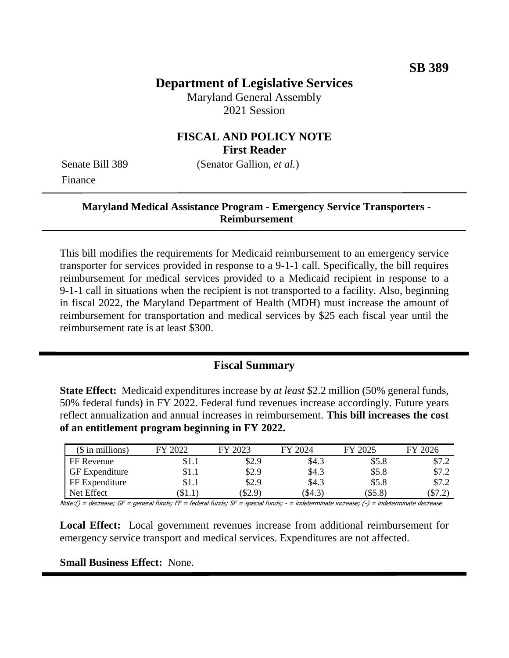# **Department of Legislative Services**

Maryland General Assembly 2021 Session

### **FISCAL AND POLICY NOTE First Reader**

Senate Bill 389 (Senator Gallion, *et al.*) Finance

#### **Maryland Medical Assistance Program - Emergency Service Transporters - Reimbursement**

This bill modifies the requirements for Medicaid reimbursement to an emergency service transporter for services provided in response to a 9-1-1 call. Specifically, the bill requires reimbursement for medical services provided to a Medicaid recipient in response to a 9-1-1 call in situations when the recipient is not transported to a facility. Also, beginning in fiscal 2022, the Maryland Department of Health (MDH) must increase the amount of reimbursement for transportation and medical services by \$25 each fiscal year until the reimbursement rate is at least \$300.

#### **Fiscal Summary**

**State Effect:** Medicaid expenditures increase by *at least* \$2.2 million (50% general funds, 50% federal funds) in FY 2022. Federal fund revenues increase accordingly. Future years reflect annualization and annual increases in reimbursement. **This bill increases the cost of an entitlement program beginning in FY 2022.**

| $$$ in millions)      | FY 2022 | FY 2023 | FY 2024 | FY 2025   | FY 2026 |
|-----------------------|---------|---------|---------|-----------|---------|
| FF Revenue            | \$1.1   | \$2.9   | \$4.3   | \$5.8     | \$7.2   |
| <b>GF</b> Expenditure | \$1.1   | \$2.9   | \$4.3   | \$5.8     | \$7.2   |
| FF Expenditure        | \$1.1   | \$2.9   | \$4.3   | \$5.8     | \$7.2   |
| Net Effect            | $\$1.1$ | (\$2.9) | (S4.3)  | $(\$5.8)$ | (S7.2)  |

Note:() = decrease; GF = general funds; FF = federal funds; SF = special funds; - = indeterminate increase; (-) = indeterminate decrease

**Local Effect:** Local government revenues increase from additional reimbursement for emergency service transport and medical services. Expenditures are not affected.

**Small Business Effect:** None.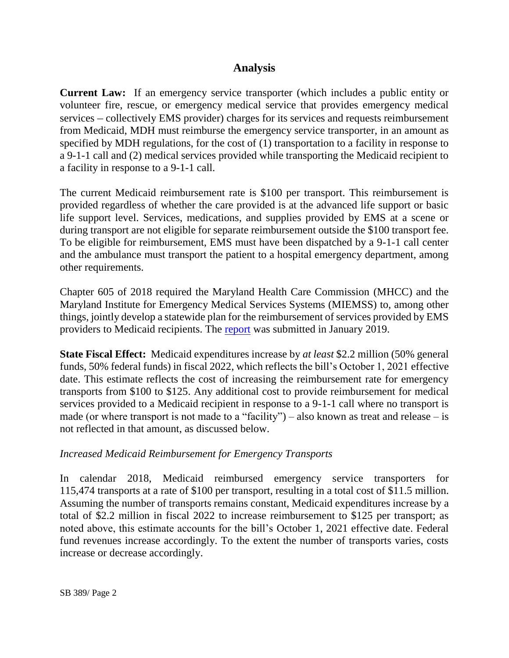# **Analysis**

**Current Law:** If an emergency service transporter (which includes a public entity or volunteer fire, rescue, or emergency medical service that provides emergency medical services – collectively EMS provider) charges for its services and requests reimbursement from Medicaid, MDH must reimburse the emergency service transporter, in an amount as specified by MDH regulations, for the cost of (1) transportation to a facility in response to a 9-1-1 call and (2) medical services provided while transporting the Medicaid recipient to a facility in response to a 9-1-1 call.

The current Medicaid reimbursement rate is \$100 per transport. This reimbursement is provided regardless of whether the care provided is at the advanced life support or basic life support level. Services, medications, and supplies provided by EMS at a scene or during transport are not eligible for separate reimbursement outside the \$100 transport fee. To be eligible for reimbursement, EMS must have been dispatched by a 9-1-1 call center and the ambulance must transport the patient to a hospital emergency department, among other requirements.

Chapter 605 of 2018 required the Maryland Health Care Commission (MHCC) and the Maryland Institute for Emergency Medical Services Systems (MIEMSS) to, among other things, jointly develop a statewide plan for the reimbursement of services provided by EMS providers to Medicaid recipients. The [report](http://dlslibrary.state.md.us/publications/Exec/MDH/MHCC/SB682Ch605_2018.pdf) was submitted in January 2019.

**State Fiscal Effect:** Medicaid expenditures increase by *at least* \$2.2 million (50% general funds, 50% federal funds) in fiscal 2022, which reflects the bill's October 1, 2021 effective date. This estimate reflects the cost of increasing the reimbursement rate for emergency transports from \$100 to \$125. Any additional cost to provide reimbursement for medical services provided to a Medicaid recipient in response to a 9-1-1 call where no transport is made (or where transport is not made to a "facility") – also known as treat and release – is not reflected in that amount, as discussed below.

### *Increased Medicaid Reimbursement for Emergency Transports*

In calendar 2018, Medicaid reimbursed emergency service transporters for 115,474 transports at a rate of \$100 per transport, resulting in a total cost of \$11.5 million. Assuming the number of transports remains constant, Medicaid expenditures increase by a total of \$2.2 million in fiscal 2022 to increase reimbursement to \$125 per transport; as noted above, this estimate accounts for the bill's October 1, 2021 effective date. Federal fund revenues increase accordingly. To the extent the number of transports varies, costs increase or decrease accordingly.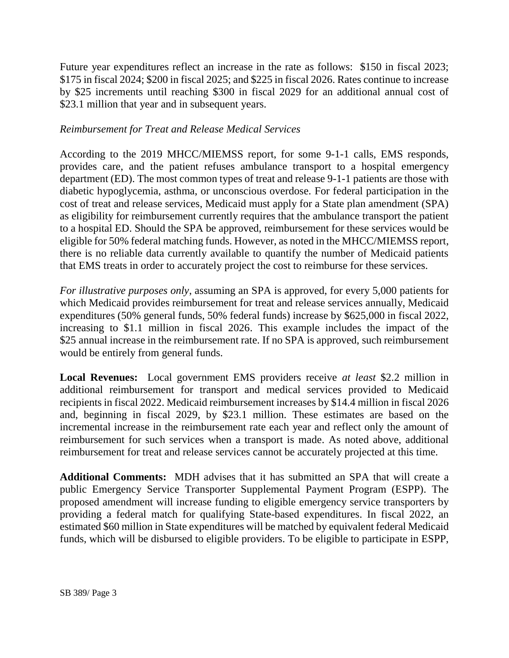Future year expenditures reflect an increase in the rate as follows: \$150 in fiscal 2023; \$175 in fiscal 2024; \$200 in fiscal 2025; and \$225 in fiscal 2026. Rates continue to increase by \$25 increments until reaching \$300 in fiscal 2029 for an additional annual cost of \$23.1 million that year and in subsequent years.

#### *Reimbursement for Treat and Release Medical Services*

According to the 2019 MHCC/MIEMSS report, for some 9-1-1 calls, EMS responds, provides care, and the patient refuses ambulance transport to a hospital emergency department (ED). The most common types of treat and release 9-1-1 patients are those with diabetic hypoglycemia, asthma, or unconscious overdose. For federal participation in the cost of treat and release services, Medicaid must apply for a State plan amendment (SPA) as eligibility for reimbursement currently requires that the ambulance transport the patient to a hospital ED. Should the SPA be approved, reimbursement for these services would be eligible for 50% federal matching funds. However, as noted in the MHCC/MIEMSS report, there is no reliable data currently available to quantify the number of Medicaid patients that EMS treats in order to accurately project the cost to reimburse for these services.

*For illustrative purposes only*, assuming an SPA is approved, for every 5,000 patients for which Medicaid provides reimbursement for treat and release services annually, Medicaid expenditures (50% general funds, 50% federal funds) increase by \$625,000 in fiscal 2022, increasing to \$1.1 million in fiscal 2026. This example includes the impact of the \$25 annual increase in the reimbursement rate. If no SPA is approved, such reimbursement would be entirely from general funds.

**Local Revenues:** Local government EMS providers receive *at least* \$2.2 million in additional reimbursement for transport and medical services provided to Medicaid recipients in fiscal 2022. Medicaid reimbursement increases by \$14.4 million in fiscal 2026 and, beginning in fiscal 2029, by \$23.1 million. These estimates are based on the incremental increase in the reimbursement rate each year and reflect only the amount of reimbursement for such services when a transport is made. As noted above, additional reimbursement for treat and release services cannot be accurately projected at this time.

**Additional Comments:** MDH advises that it has submitted an SPA that will create a public Emergency Service Transporter Supplemental Payment Program (ESPP). The proposed amendment will increase funding to eligible emergency service transporters by providing a federal match for qualifying State-based expenditures. In fiscal 2022, an estimated \$60 million in State expenditures will be matched by equivalent federal Medicaid funds, which will be disbursed to eligible providers. To be eligible to participate in ESPP,